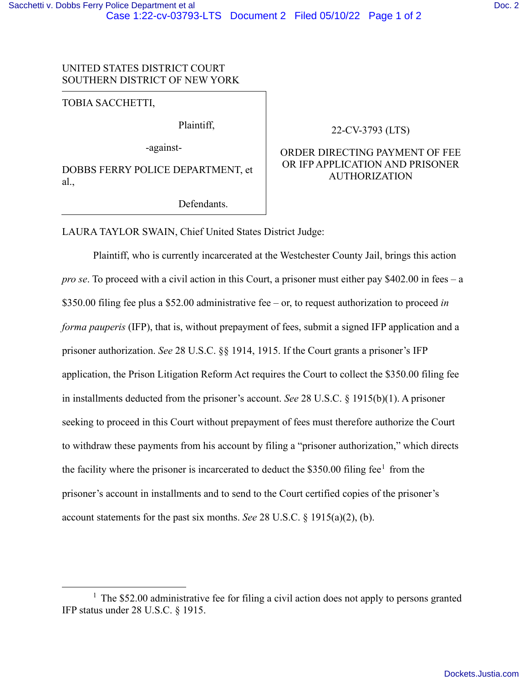## UNITED STATES DISTRICT COURT SOUTHERN DISTRICT OF NEW YORK

TOBIA SACCHETTI,

Plaintiff,

-against-

DOBBS FERRY POLICE DEPARTMENT, et al.,

Defendants.

## 22-CV-3793 (LTS)

# ORDER DIRECTING PAYMENT OF FEE OR IFP APPLICATION AND PRISONER AUTHORIZATION

LAURA TAYLOR SWAIN, Chief United States District Judge:

Plaintiff, who is currently incarcerated at the Westchester County Jail, brings this action *pro se*. To proceed with a civil action in this Court, a prisoner must either pay \$402.00 in fees – a \$350.00 filing fee plus a \$52.00 administrative fee – or, to request authorization to proceed *in forma pauperis* (IFP), that is, without prepayment of fees, submit a signed IFP application and a prisoner authorization. *See* 28 U.S.C. §§ 1914, 1915. If the Court grants a prisoner's IFP application, the Prison Litigation Reform Act requires the Court to collect the \$350.00 filing fee in installments deducted from the prisoner's account. *See* 28 U.S.C. § 1915(b)(1). A prisoner seeking to proceed in this Court without prepayment of fees must therefore authorize the Court to withdraw these payments from his account by filing a "prisoner authorization," which directs the facility where the prisoner is incarcerated to deduct the  $$350.00$  filing fee<sup>[1](#page-0-0)</sup> from the prisoner's account in installments and to send to the Court certified copies of the prisoner's account statements for the past six months. *See* 28 U.S.C. § 1915(a)(2), (b).

<span id="page-0-0"></span> $1$  The \$52.00 administrative fee for filing a civil action does not apply to persons granted IFP status under 28 U.S.C. § 1915.